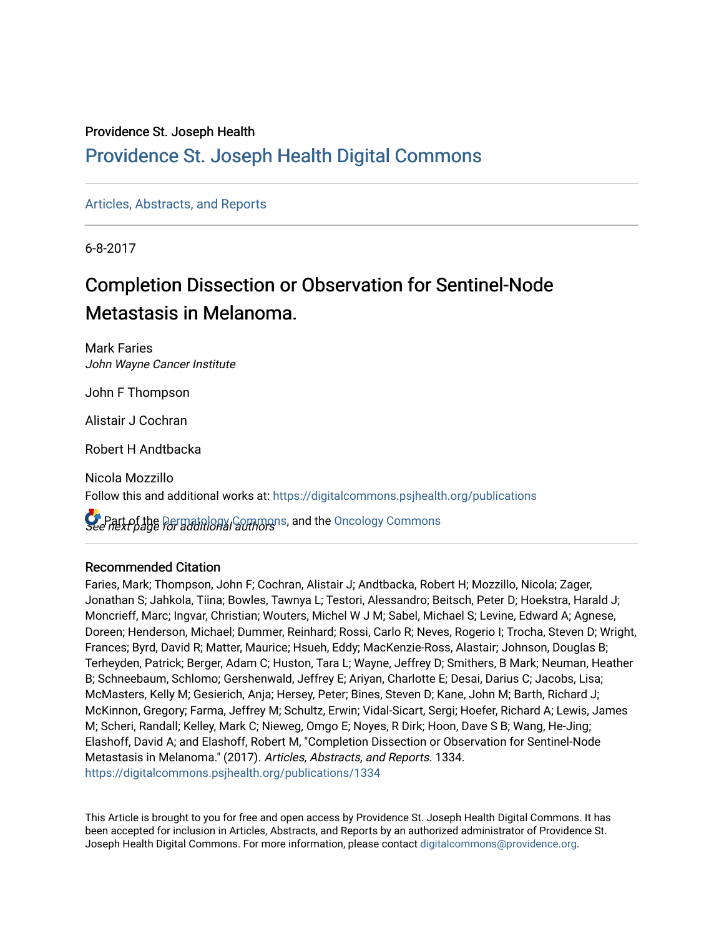# Providence St. Joseph Health

# [Providence St. Joseph Health Digital Commons](https://digitalcommons.psjhealth.org/)

#### [Articles, Abstracts, and Reports](https://digitalcommons.psjhealth.org/publications)

6-8-2017

# Completion Dissection or Observation for Sentinel-Node Metastasis in Melanoma.

Mark Faries John Wayne Cancer Institute

John F Thompson

Alistair J Cochran

Robert H Andtbacka

Nicola Mozzillo Follow this and additional works at: [https://digitalcommons.psjhealth.org/publications](https://digitalcommons.psjhealth.org/publications?utm_source=digitalcommons.psjhealth.org%2Fpublications%2F1334&utm_medium=PDF&utm_campaign=PDFCoverPages)

**P** Part of the [Dermatology Commons,](http://network.bepress.com/hgg/discipline/684?utm_source=digitalcommons.psjhealth.org%2Fpublications%2F1334&utm_medium=PDF&utm_campaign=PDFCoverPages) and the Oncology Commons<br>See next page for additional authors

#### Recommended Citation

Faries, Mark; Thompson, John F; Cochran, Alistair J; Andtbacka, Robert H; Mozzillo, Nicola; Zager, Jonathan S; Jahkola, Tiina; Bowles, Tawnya L; Testori, Alessandro; Beitsch, Peter D; Hoekstra, Harald J; Moncrieff, Marc; Ingvar, Christian; Wouters, Michel W J M; Sabel, Michael S; Levine, Edward A; Agnese, Doreen; Henderson, Michael; Dummer, Reinhard; Rossi, Carlo R; Neves, Rogerio I; Trocha, Steven D; Wright, Frances; Byrd, David R; Matter, Maurice; Hsueh, Eddy; MacKenzie-Ross, Alastair; Johnson, Douglas B; Terheyden, Patrick; Berger, Adam C; Huston, Tara L; Wayne, Jeffrey D; Smithers, B Mark; Neuman, Heather B; Schneebaum, Schlomo; Gershenwald, Jeffrey E; Ariyan, Charlotte E; Desai, Darius C; Jacobs, Lisa; McMasters, Kelly M; Gesierich, Anja; Hersey, Peter; Bines, Steven D; Kane, John M; Barth, Richard J; McKinnon, Gregory; Farma, Jeffrey M; Schultz, Erwin; Vidal-Sicart, Sergi; Hoefer, Richard A; Lewis, James M; Scheri, Randall; Kelley, Mark C; Nieweg, Omgo E; Noyes, R Dirk; Hoon, Dave S B; Wang, He-Jing; Elashoff, David A; and Elashoff, Robert M, "Completion Dissection or Observation for Sentinel-Node Metastasis in Melanoma." (2017). Articles, Abstracts, and Reports. 1334. [https://digitalcommons.psjhealth.org/publications/1334](https://digitalcommons.psjhealth.org/publications/1334?utm_source=digitalcommons.psjhealth.org%2Fpublications%2F1334&utm_medium=PDF&utm_campaign=PDFCoverPages) 

This Article is brought to you for free and open access by Providence St. Joseph Health Digital Commons. It has been accepted for inclusion in Articles, Abstracts, and Reports by an authorized administrator of Providence St. Joseph Health Digital Commons. For more information, please contact [digitalcommons@providence.org.](mailto:digitalcommons@providence.org)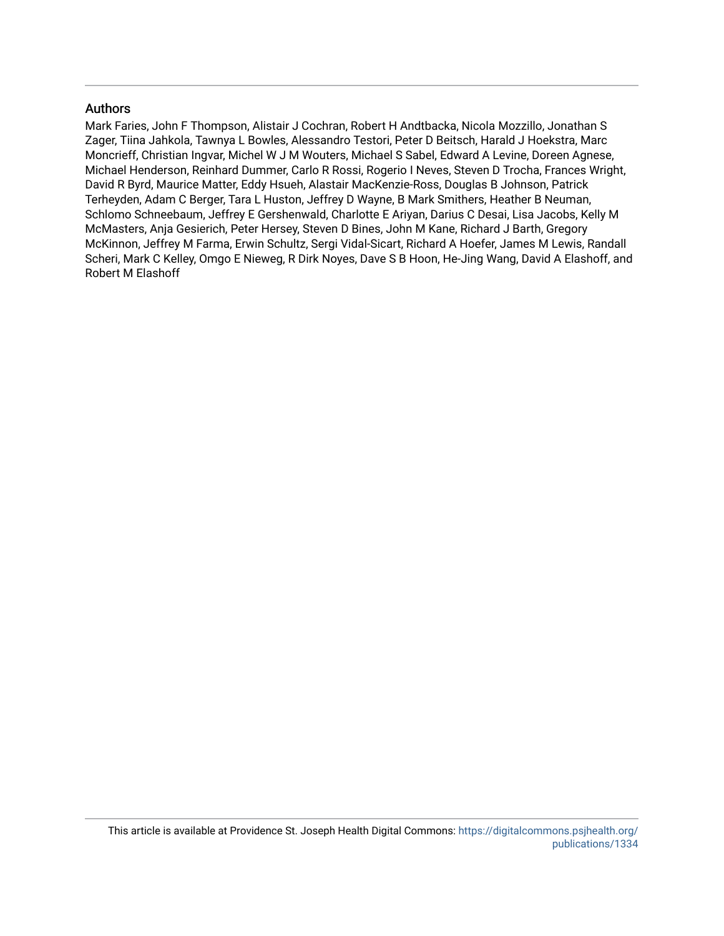### Authors

Mark Faries, John F Thompson, Alistair J Cochran, Robert H Andtbacka, Nicola Mozzillo, Jonathan S Zager, Tiina Jahkola, Tawnya L Bowles, Alessandro Testori, Peter D Beitsch, Harald J Hoekstra, Marc Moncrieff, Christian Ingvar, Michel W J M Wouters, Michael S Sabel, Edward A Levine, Doreen Agnese, Michael Henderson, Reinhard Dummer, Carlo R Rossi, Rogerio I Neves, Steven D Trocha, Frances Wright, David R Byrd, Maurice Matter, Eddy Hsueh, Alastair MacKenzie-Ross, Douglas B Johnson, Patrick Terheyden, Adam C Berger, Tara L Huston, Jeffrey D Wayne, B Mark Smithers, Heather B Neuman, Schlomo Schneebaum, Jeffrey E Gershenwald, Charlotte E Ariyan, Darius C Desai, Lisa Jacobs, Kelly M McMasters, Anja Gesierich, Peter Hersey, Steven D Bines, John M Kane, Richard J Barth, Gregory McKinnon, Jeffrey M Farma, Erwin Schultz, Sergi Vidal-Sicart, Richard A Hoefer, James M Lewis, Randall Scheri, Mark C Kelley, Omgo E Nieweg, R Dirk Noyes, Dave S B Hoon, He-Jing Wang, David A Elashoff, and Robert M Elashoff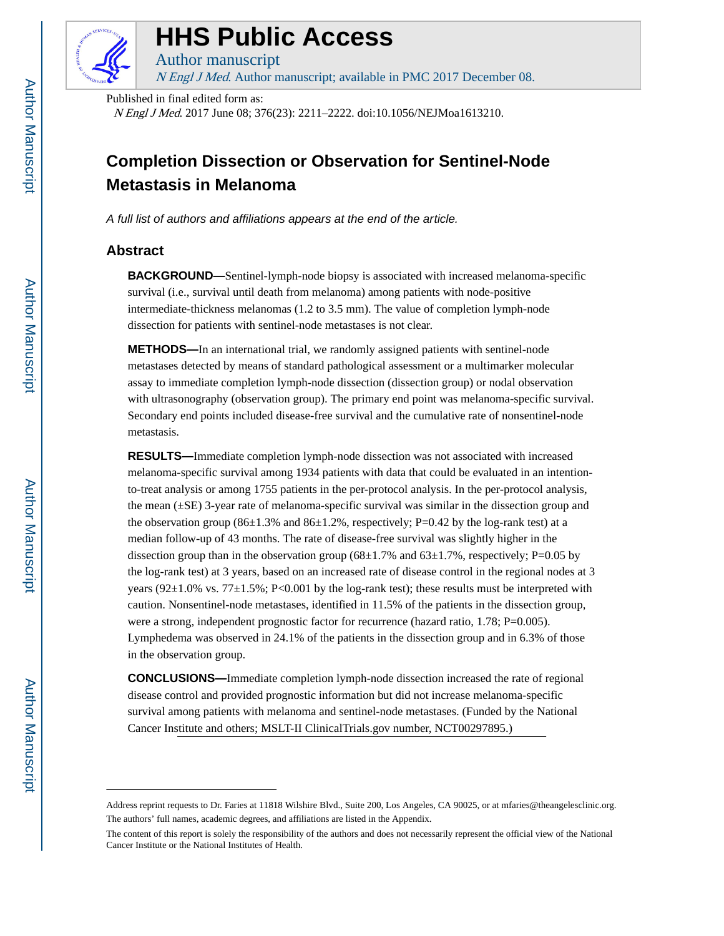

# **HHS Public Access**

Author manuscript N Engl J Med. Author manuscript; available in PMC 2017 December 08.

Published in final edited form as:

N Engl J Med. 2017 June 08; 376(23): 2211–2222. doi:10.1056/NEJMoa1613210.

# **Completion Dissection or Observation for Sentinel-Node Metastasis in Melanoma**

A full list of authors and affiliations appears at the end of the article.

# **Abstract**

**BACKGROUND—**Sentinel-lymph-node biopsy is associated with increased melanoma-specific survival (i.e., survival until death from melanoma) among patients with node-positive intermediate-thickness melanomas (1.2 to 3.5 mm). The value of completion lymph-node dissection for patients with sentinel-node metastases is not clear.

**METHODS—**In an international trial, we randomly assigned patients with sentinel-node metastases detected by means of standard pathological assessment or a multimarker molecular assay to immediate completion lymph-node dissection (dissection group) or nodal observation with ultrasonography (observation group). The primary end point was melanoma-specific survival. Secondary end points included disease-free survival and the cumulative rate of nonsentinel-node metastasis.

**RESULTS—**Immediate completion lymph-node dissection was not associated with increased melanoma-specific survival among 1934 patients with data that could be evaluated in an intentionto-treat analysis or among 1755 patients in the per-protocol analysis. In the per-protocol analysis, the mean  $(\pm SE)$  3-year rate of melanoma-specific survival was similar in the dissection group and the observation group  $(86\pm1.3\%$  and  $86\pm1.2\%$ , respectively; P=0.42 by the log-rank test) at a median follow-up of 43 months. The rate of disease-free survival was slightly higher in the dissection group than in the observation group  $(68\pm1.7\%$  and  $63\pm1.7\%$ , respectively; P=0.05 by the log-rank test) at 3 years, based on an increased rate of disease control in the regional nodes at 3 years  $(92\pm1.0\%$  vs.  $77\pm1.5\%$ ; P<0.001 by the log-rank test); these results must be interpreted with caution. Nonsentinel-node metastases, identified in 11.5% of the patients in the dissection group, were a strong, independent prognostic factor for recurrence (hazard ratio, 1.78; P=0.005). Lymphedema was observed in 24.1% of the patients in the dissection group and in 6.3% of those in the observation group.

**CONCLUSIONS—**Immediate completion lymph-node dissection increased the rate of regional disease control and provided prognostic information but did not increase melanoma-specific survival among patients with melanoma and sentinel-node metastases. (Funded by the National Cancer Institute and others; MSLT-II ClinicalTrials.gov number, NCT00297895.)

Address reprint requests to Dr. Faries at 11818 Wilshire Blvd., Suite 200, Los Angeles, CA 90025, or at mfaries@theangelesclinic.org. The authors' full names, academic degrees, and affiliations are listed in the Appendix.

The content of this report is solely the responsibility of the authors and does not necessarily represent the official view of the National Cancer Institute or the National Institutes of Health.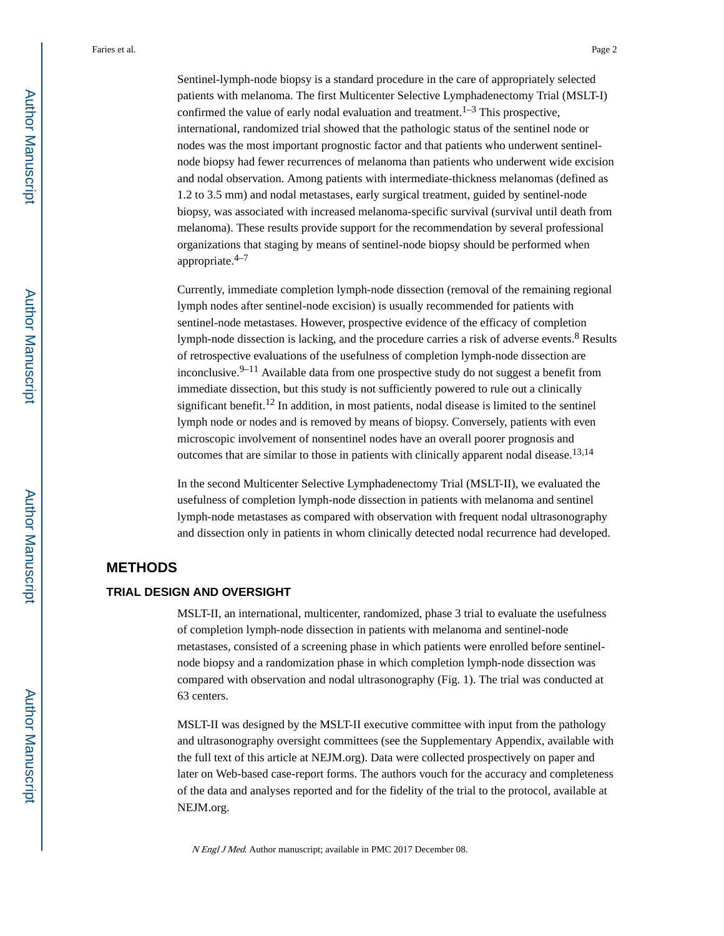Sentinel-lymph-node biopsy is a standard procedure in the care of appropriately selected patients with melanoma. The first Multicenter Selective Lymphadenectomy Trial (MSLT-I) confirmed the value of early nodal evaluation and treatment.<sup>1-3</sup> This prospective, international, randomized trial showed that the pathologic status of the sentinel node or nodes was the most important prognostic factor and that patients who underwent sentinelnode biopsy had fewer recurrences of melanoma than patients who underwent wide excision and nodal observation. Among patients with intermediate-thickness melanomas (defined as 1.2 to 3.5 mm) and nodal metastases, early surgical treatment, guided by sentinel-node biopsy, was associated with increased melanoma-specific survival (survival until death from melanoma). These results provide support for the recommendation by several professional organizations that staging by means of sentinel-node biopsy should be performed when appropriate.4–7

Currently, immediate completion lymph-node dissection (removal of the remaining regional lymph nodes after sentinel-node excision) is usually recommended for patients with sentinel-node metastases. However, prospective evidence of the efficacy of completion lymph-node dissection is lacking, and the procedure carries a risk of adverse events.<sup>8</sup> Results of retrospective evaluations of the usefulness of completion lymph-node dissection are inconclusive. $9-11$  Available data from one prospective study do not suggest a benefit from immediate dissection, but this study is not sufficiently powered to rule out a clinically significant benefit.<sup>12</sup> In addition, in most patients, nodal disease is limited to the sentinel lymph node or nodes and is removed by means of biopsy. Conversely, patients with even microscopic involvement of nonsentinel nodes have an overall poorer prognosis and outcomes that are similar to those in patients with clinically apparent nodal disease.<sup>13,14</sup>

In the second Multicenter Selective Lymphadenectomy Trial (MSLT-II), we evaluated the usefulness of completion lymph-node dissection in patients with melanoma and sentinel lymph-node metastases as compared with observation with frequent nodal ultrasonography and dissection only in patients in whom clinically detected nodal recurrence had developed.

# **METHODS**

#### **TRIAL DESIGN AND OVERSIGHT**

MSLT-II, an international, multicenter, randomized, phase 3 trial to evaluate the usefulness of completion lymph-node dissection in patients with melanoma and sentinel-node metastases, consisted of a screening phase in which patients were enrolled before sentinelnode biopsy and a randomization phase in which completion lymph-node dissection was compared with observation and nodal ultrasonography (Fig. 1). The trial was conducted at 63 centers.

MSLT-II was designed by the MSLT-II executive committee with input from the pathology and ultrasonography oversight committees (see the Supplementary Appendix, available with the full text of this article at NEJM.org). Data were collected prospectively on paper and later on Web-based case-report forms. The authors vouch for the accuracy and completeness of the data and analyses reported and for the fidelity of the trial to the protocol, available at NEJM.org.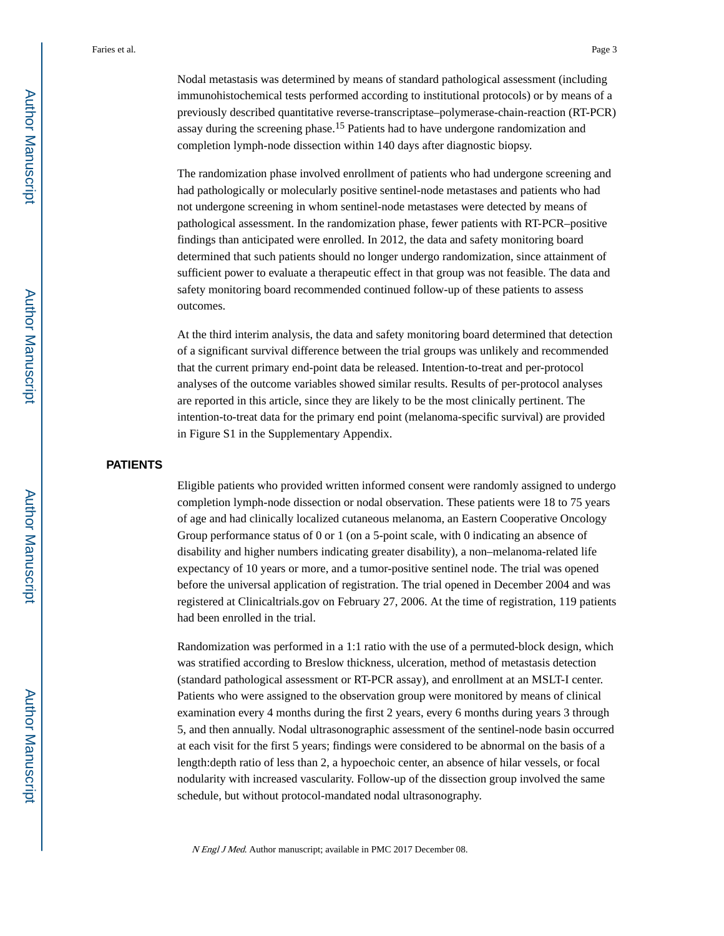Nodal metastasis was determined by means of standard pathological assessment (including immunohistochemical tests performed according to institutional protocols) or by means of a previously described quantitative reverse-transcriptase–polymerase-chain-reaction (RT-PCR) assay during the screening phase.15 Patients had to have undergone randomization and completion lymph-node dissection within 140 days after diagnostic biopsy.

The randomization phase involved enrollment of patients who had undergone screening and had pathologically or molecularly positive sentinel-node metastases and patients who had not undergone screening in whom sentinel-node metastases were detected by means of pathological assessment. In the randomization phase, fewer patients with RT-PCR–positive findings than anticipated were enrolled. In 2012, the data and safety monitoring board determined that such patients should no longer undergo randomization, since attainment of sufficient power to evaluate a therapeutic effect in that group was not feasible. The data and safety monitoring board recommended continued follow-up of these patients to assess outcomes.

At the third interim analysis, the data and safety monitoring board determined that detection of a significant survival difference between the trial groups was unlikely and recommended that the current primary end-point data be released. Intention-to-treat and per-protocol analyses of the outcome variables showed similar results. Results of per-protocol analyses are reported in this article, since they are likely to be the most clinically pertinent. The intention-to-treat data for the primary end point (melanoma-specific survival) are provided in Figure S1 in the Supplementary Appendix.

#### **PATIENTS**

Eligible patients who provided written informed consent were randomly assigned to undergo completion lymph-node dissection or nodal observation. These patients were 18 to 75 years of age and had clinically localized cutaneous melanoma, an Eastern Cooperative Oncology Group performance status of 0 or 1 (on a 5-point scale, with 0 indicating an absence of disability and higher numbers indicating greater disability), a non–melanoma-related life expectancy of 10 years or more, and a tumor-positive sentinel node. The trial was opened before the universal application of registration. The trial opened in December 2004 and was registered at Clinicaltrials.gov on February 27, 2006. At the time of registration, 119 patients had been enrolled in the trial.

Randomization was performed in a 1:1 ratio with the use of a permuted-block design, which was stratified according to Breslow thickness, ulceration, method of metastasis detection (standard pathological assessment or RT-PCR assay), and enrollment at an MSLT-I center. Patients who were assigned to the observation group were monitored by means of clinical examination every 4 months during the first 2 years, every 6 months during years 3 through 5, and then annually. Nodal ultrasonographic assessment of the sentinel-node basin occurred at each visit for the first 5 years; findings were considered to be abnormal on the basis of a length:depth ratio of less than 2, a hypoechoic center, an absence of hilar vessels, or focal nodularity with increased vascularity. Follow-up of the dissection group involved the same schedule, but without protocol-mandated nodal ultrasonography.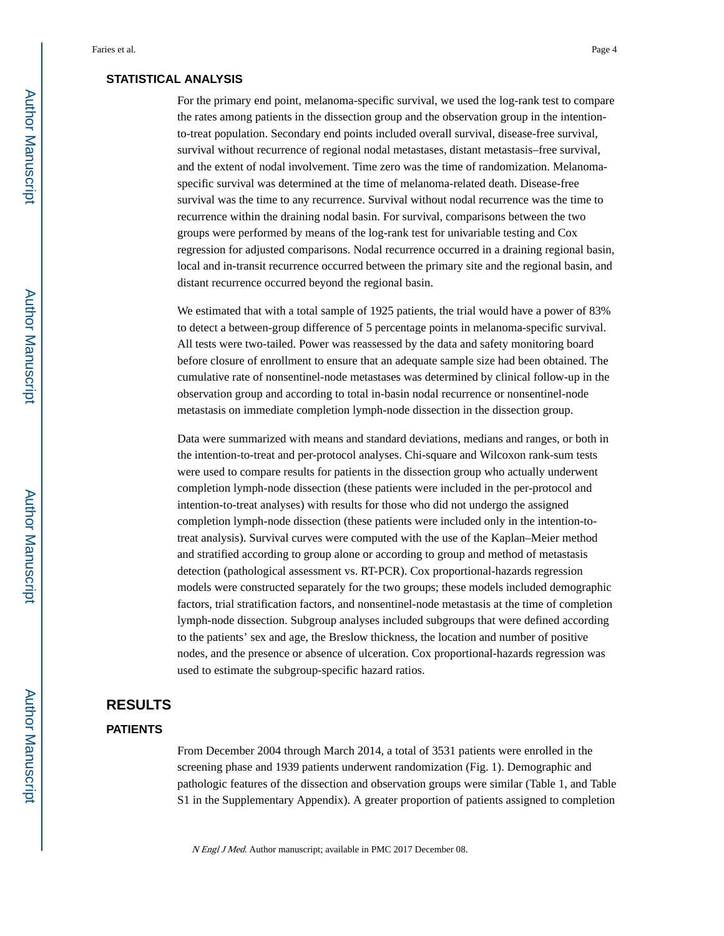#### **STATISTICAL ANALYSIS**

For the primary end point, melanoma-specific survival, we used the log-rank test to compare the rates among patients in the dissection group and the observation group in the intentionto-treat population. Secondary end points included overall survival, disease-free survival, survival without recurrence of regional nodal metastases, distant metastasis–free survival, and the extent of nodal involvement. Time zero was the time of randomization. Melanomaspecific survival was determined at the time of melanoma-related death. Disease-free survival was the time to any recurrence. Survival without nodal recurrence was the time to recurrence within the draining nodal basin. For survival, comparisons between the two groups were performed by means of the log-rank test for univariable testing and Cox regression for adjusted comparisons. Nodal recurrence occurred in a draining regional basin, local and in-transit recurrence occurred between the primary site and the regional basin, and distant recurrence occurred beyond the regional basin.

We estimated that with a total sample of 1925 patients, the trial would have a power of 83% to detect a between-group difference of 5 percentage points in melanoma-specific survival. All tests were two-tailed. Power was reassessed by the data and safety monitoring board before closure of enrollment to ensure that an adequate sample size had been obtained. The cumulative rate of nonsentinel-node metastases was determined by clinical follow-up in the observation group and according to total in-basin nodal recurrence or nonsentinel-node metastasis on immediate completion lymph-node dissection in the dissection group.

Data were summarized with means and standard deviations, medians and ranges, or both in the intention-to-treat and per-protocol analyses. Chi-square and Wilcoxon rank-sum tests were used to compare results for patients in the dissection group who actually underwent completion lymph-node dissection (these patients were included in the per-protocol and intention-to-treat analyses) with results for those who did not undergo the assigned completion lymph-node dissection (these patients were included only in the intention-totreat analysis). Survival curves were computed with the use of the Kaplan–Meier method and stratified according to group alone or according to group and method of metastasis detection (pathological assessment vs. RT-PCR). Cox proportional-hazards regression models were constructed separately for the two groups; these models included demographic factors, trial stratification factors, and nonsentinel-node metastasis at the time of completion lymph-node dissection. Subgroup analyses included subgroups that were defined according to the patients' sex and age, the Breslow thickness, the location and number of positive nodes, and the presence or absence of ulceration. Cox proportional-hazards regression was used to estimate the subgroup-specific hazard ratios.

# **RESULTS**

#### **PATIENTS**

From December 2004 through March 2014, a total of 3531 patients were enrolled in the screening phase and 1939 patients underwent randomization (Fig. 1). Demographic and pathologic features of the dissection and observation groups were similar (Table 1, and Table S1 in the Supplementary Appendix). A greater proportion of patients assigned to completion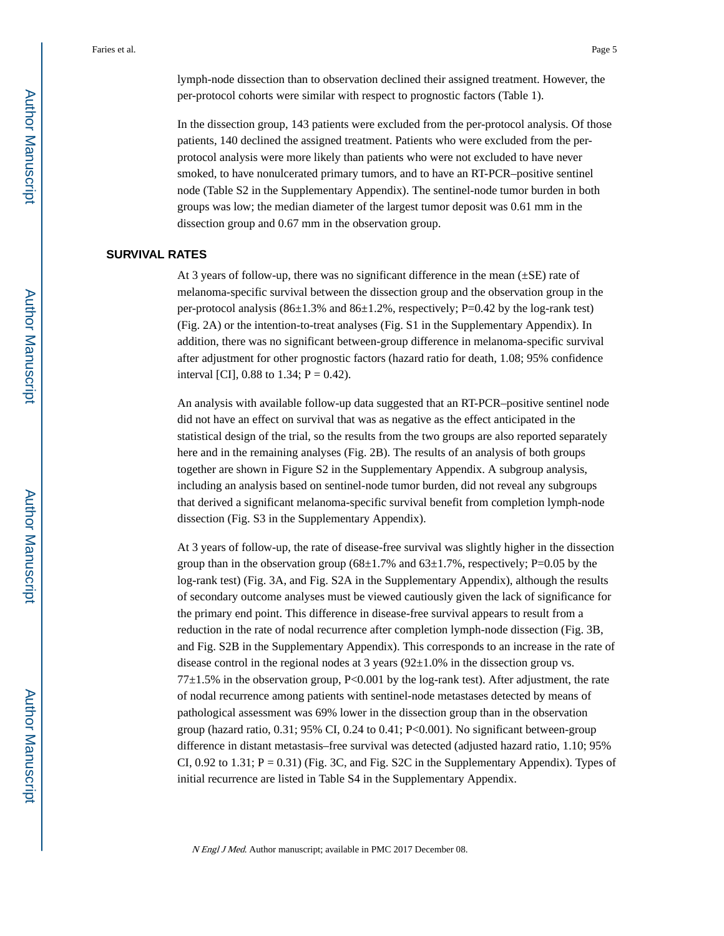lymph-node dissection than to observation declined their assigned treatment. However, the per-protocol cohorts were similar with respect to prognostic factors (Table 1).

In the dissection group, 143 patients were excluded from the per-protocol analysis. Of those patients, 140 declined the assigned treatment. Patients who were excluded from the perprotocol analysis were more likely than patients who were not excluded to have never smoked, to have nonulcerated primary tumors, and to have an RT-PCR–positive sentinel node (Table S2 in the Supplementary Appendix). The sentinel-node tumor burden in both groups was low; the median diameter of the largest tumor deposit was 0.61 mm in the dissection group and 0.67 mm in the observation group.

# **SURVIVAL RATES**

At 3 years of follow-up, there was no significant difference in the mean  $(\pm SE)$  rate of melanoma-specific survival between the dissection group and the observation group in the per-protocol analysis  $(86\pm1.3\%$  and  $86\pm1.2\%$ , respectively; P=0.42 by the log-rank test) (Fig. 2A) or the intention-to-treat analyses (Fig. S1 in the Supplementary Appendix). In addition, there was no significant between-group difference in melanoma-specific survival after adjustment for other prognostic factors (hazard ratio for death, 1.08; 95% confidence interval [CI], 0.88 to 1.34;  $P = 0.42$ ).

An analysis with available follow-up data suggested that an RT-PCR–positive sentinel node did not have an effect on survival that was as negative as the effect anticipated in the statistical design of the trial, so the results from the two groups are also reported separately here and in the remaining analyses (Fig. 2B). The results of an analysis of both groups together are shown in Figure S2 in the Supplementary Appendix. A subgroup analysis, including an analysis based on sentinel-node tumor burden, did not reveal any subgroups that derived a significant melanoma-specific survival benefit from completion lymph-node dissection (Fig. S3 in the Supplementary Appendix).

At 3 years of follow-up, the rate of disease-free survival was slightly higher in the dissection group than in the observation group ( $68\pm1.7\%$  and  $63\pm1.7\%$ , respectively; P=0.05 by the log-rank test) (Fig. 3A, and Fig. S2A in the Supplementary Appendix), although the results of secondary outcome analyses must be viewed cautiously given the lack of significance for the primary end point. This difference in disease-free survival appears to result from a reduction in the rate of nodal recurrence after completion lymph-node dissection (Fig. 3B, and Fig. S2B in the Supplementary Appendix). This corresponds to an increase in the rate of disease control in the regional nodes at 3 years  $(92\pm1.0\%$  in the dissection group vs.  $77\pm1.5\%$  in the observation group, P<0.001 by the log-rank test). After adjustment, the rate of nodal recurrence among patients with sentinel-node metastases detected by means of pathological assessment was 69% lower in the dissection group than in the observation group (hazard ratio,  $0.31$ ;  $95\%$  CI,  $0.24$  to  $0.41$ ;  $P<0.001$ ). No significant between-group difference in distant metastasis–free survival was detected (adjusted hazard ratio, 1.10; 95% CI,  $0.92$  to  $1.31$ ; P =  $0.31$ ) (Fig. 3C, and Fig. S2C in the Supplementary Appendix). Types of initial recurrence are listed in Table S4 in the Supplementary Appendix.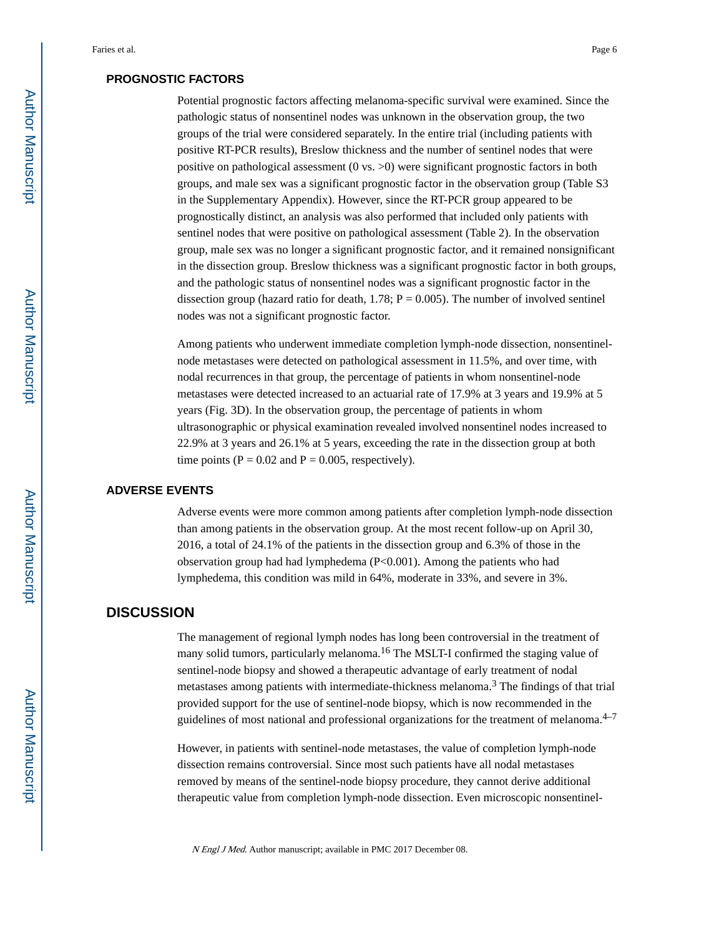#### **PROGNOSTIC FACTORS**

Potential prognostic factors affecting melanoma-specific survival were examined. Since the pathologic status of nonsentinel nodes was unknown in the observation group, the two groups of the trial were considered separately. In the entire trial (including patients with positive RT-PCR results), Breslow thickness and the number of sentinel nodes that were positive on pathological assessment (0 vs. >0) were significant prognostic factors in both groups, and male sex was a significant prognostic factor in the observation group (Table S3 in the Supplementary Appendix). However, since the RT-PCR group appeared to be prognostically distinct, an analysis was also performed that included only patients with sentinel nodes that were positive on pathological assessment (Table 2). In the observation group, male sex was no longer a significant prognostic factor, and it remained nonsignificant in the dissection group. Breslow thickness was a significant prognostic factor in both groups, and the pathologic status of nonsentinel nodes was a significant prognostic factor in the dissection group (hazard ratio for death,  $1.78$ ;  $P = 0.005$ ). The number of involved sentinel nodes was not a significant prognostic factor.

Among patients who underwent immediate completion lymph-node dissection, nonsentinelnode metastases were detected on pathological assessment in 11.5%, and over time, with nodal recurrences in that group, the percentage of patients in whom nonsentinel-node metastases were detected increased to an actuarial rate of 17.9% at 3 years and 19.9% at 5 years (Fig. 3D). In the observation group, the percentage of patients in whom ultrasonographic or physical examination revealed involved nonsentinel nodes increased to 22.9% at 3 years and 26.1% at 5 years, exceeding the rate in the dissection group at both time points ( $P = 0.02$  and  $P = 0.005$ , respectively).

#### **ADVERSE EVENTS**

Adverse events were more common among patients after completion lymph-node dissection than among patients in the observation group. At the most recent follow-up on April 30, 2016, a total of 24.1% of the patients in the dissection group and 6.3% of those in the observation group had had lymphedema  $(P<0.001)$ . Among the patients who had lymphedema, this condition was mild in 64%, moderate in 33%, and severe in 3%.

# **DISCUSSION**

The management of regional lymph nodes has long been controversial in the treatment of many solid tumors, particularly melanoma.<sup>16</sup> The MSLT-I confirmed the staging value of sentinel-node biopsy and showed a therapeutic advantage of early treatment of nodal metastases among patients with intermediate-thickness melanoma.<sup>3</sup> The findings of that trial provided support for the use of sentinel-node biopsy, which is now recommended in the guidelines of most national and professional organizations for the treatment of melanoma.<sup>4–7</sup>

However, in patients with sentinel-node metastases, the value of completion lymph-node dissection remains controversial. Since most such patients have all nodal metastases removed by means of the sentinel-node biopsy procedure, they cannot derive additional therapeutic value from completion lymph-node dissection. Even microscopic nonsentinel-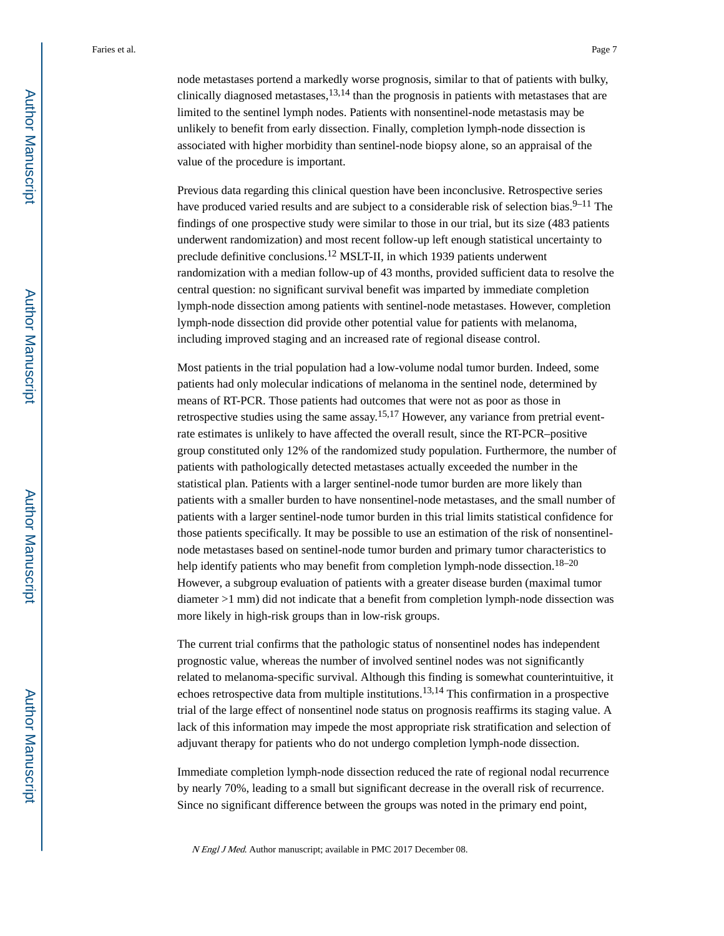node metastases portend a markedly worse prognosis, similar to that of patients with bulky, clinically diagnosed metastases,  $13,14$  than the prognosis in patients with metastases that are limited to the sentinel lymph nodes. Patients with nonsentinel-node metastasis may be unlikely to benefit from early dissection. Finally, completion lymph-node dissection is associated with higher morbidity than sentinel-node biopsy alone, so an appraisal of the value of the procedure is important.

Previous data regarding this clinical question have been inconclusive. Retrospective series have produced varied results and are subject to a considerable risk of selection bias. $9-11$  The findings of one prospective study were similar to those in our trial, but its size (483 patients underwent randomization) and most recent follow-up left enough statistical uncertainty to preclude definitive conclusions.12 MSLT-II, in which 1939 patients underwent randomization with a median follow-up of 43 months, provided sufficient data to resolve the central question: no significant survival benefit was imparted by immediate completion lymph-node dissection among patients with sentinel-node metastases. However, completion lymph-node dissection did provide other potential value for patients with melanoma, including improved staging and an increased rate of regional disease control.

Most patients in the trial population had a low-volume nodal tumor burden. Indeed, some patients had only molecular indications of melanoma in the sentinel node, determined by means of RT-PCR. Those patients had outcomes that were not as poor as those in retrospective studies using the same assay.15,17 However, any variance from pretrial eventrate estimates is unlikely to have affected the overall result, since the RT-PCR–positive group constituted only 12% of the randomized study population. Furthermore, the number of patients with pathologically detected metastases actually exceeded the number in the statistical plan. Patients with a larger sentinel-node tumor burden are more likely than patients with a smaller burden to have nonsentinel-node metastases, and the small number of patients with a larger sentinel-node tumor burden in this trial limits statistical confidence for those patients specifically. It may be possible to use an estimation of the risk of nonsentinelnode metastases based on sentinel-node tumor burden and primary tumor characteristics to help identify patients who may benefit from completion lymph-node dissection.<sup>18–20</sup> However, a subgroup evaluation of patients with a greater disease burden (maximal tumor diameter >1 mm) did not indicate that a benefit from completion lymph-node dissection was more likely in high-risk groups than in low-risk groups.

The current trial confirms that the pathologic status of nonsentinel nodes has independent prognostic value, whereas the number of involved sentinel nodes was not significantly related to melanoma-specific survival. Although this finding is somewhat counterintuitive, it echoes retrospective data from multiple institutions.13,14 This confirmation in a prospective trial of the large effect of nonsentinel node status on prognosis reaffirms its staging value. A lack of this information may impede the most appropriate risk stratification and selection of adjuvant therapy for patients who do not undergo completion lymph-node dissection.

Immediate completion lymph-node dissection reduced the rate of regional nodal recurrence by nearly 70%, leading to a small but significant decrease in the overall risk of recurrence. Since no significant difference between the groups was noted in the primary end point,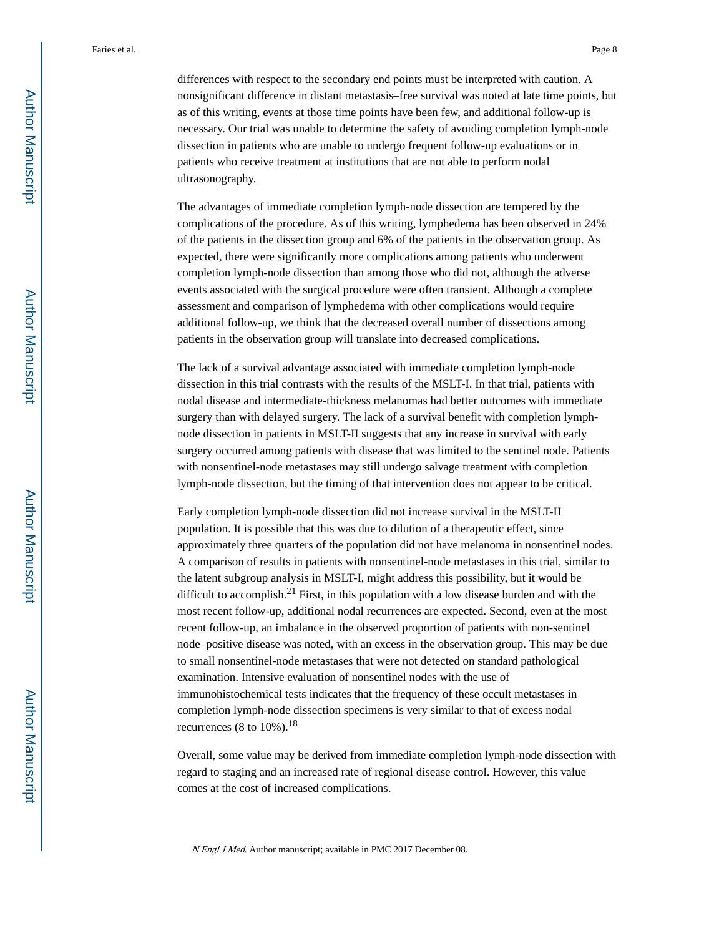differences with respect to the secondary end points must be interpreted with caution. A nonsignificant difference in distant metastasis–free survival was noted at late time points, but as of this writing, events at those time points have been few, and additional follow-up is necessary. Our trial was unable to determine the safety of avoiding completion lymph-node dissection in patients who are unable to undergo frequent follow-up evaluations or in patients who receive treatment at institutions that are not able to perform nodal ultrasonography.

The advantages of immediate completion lymph-node dissection are tempered by the complications of the procedure. As of this writing, lymphedema has been observed in 24% of the patients in the dissection group and 6% of the patients in the observation group. As expected, there were significantly more complications among patients who underwent completion lymph-node dissection than among those who did not, although the adverse events associated with the surgical procedure were often transient. Although a complete assessment and comparison of lymphedema with other complications would require additional follow-up, we think that the decreased overall number of dissections among patients in the observation group will translate into decreased complications.

The lack of a survival advantage associated with immediate completion lymph-node dissection in this trial contrasts with the results of the MSLT-I. In that trial, patients with nodal disease and intermediate-thickness melanomas had better outcomes with immediate surgery than with delayed surgery. The lack of a survival benefit with completion lymphnode dissection in patients in MSLT-II suggests that any increase in survival with early surgery occurred among patients with disease that was limited to the sentinel node. Patients with nonsentinel-node metastases may still undergo salvage treatment with completion lymph-node dissection, but the timing of that intervention does not appear to be critical.

Early completion lymph-node dissection did not increase survival in the MSLT-II population. It is possible that this was due to dilution of a therapeutic effect, since approximately three quarters of the population did not have melanoma in nonsentinel nodes. A comparison of results in patients with nonsentinel-node metastases in this trial, similar to the latent subgroup analysis in MSLT-I, might address this possibility, but it would be difficult to accomplish.<sup>21</sup> First, in this population with a low disease burden and with the most recent follow-up, additional nodal recurrences are expected. Second, even at the most recent follow-up, an imbalance in the observed proportion of patients with non-sentinel node–positive disease was noted, with an excess in the observation group. This may be due to small nonsentinel-node metastases that were not detected on standard pathological examination. Intensive evaluation of nonsentinel nodes with the use of immunohistochemical tests indicates that the frequency of these occult metastases in completion lymph-node dissection specimens is very similar to that of excess nodal recurrences (8 to  $10\%$ ).<sup>18</sup>

Overall, some value may be derived from immediate completion lymph-node dissection with regard to staging and an increased rate of regional disease control. However, this value comes at the cost of increased complications.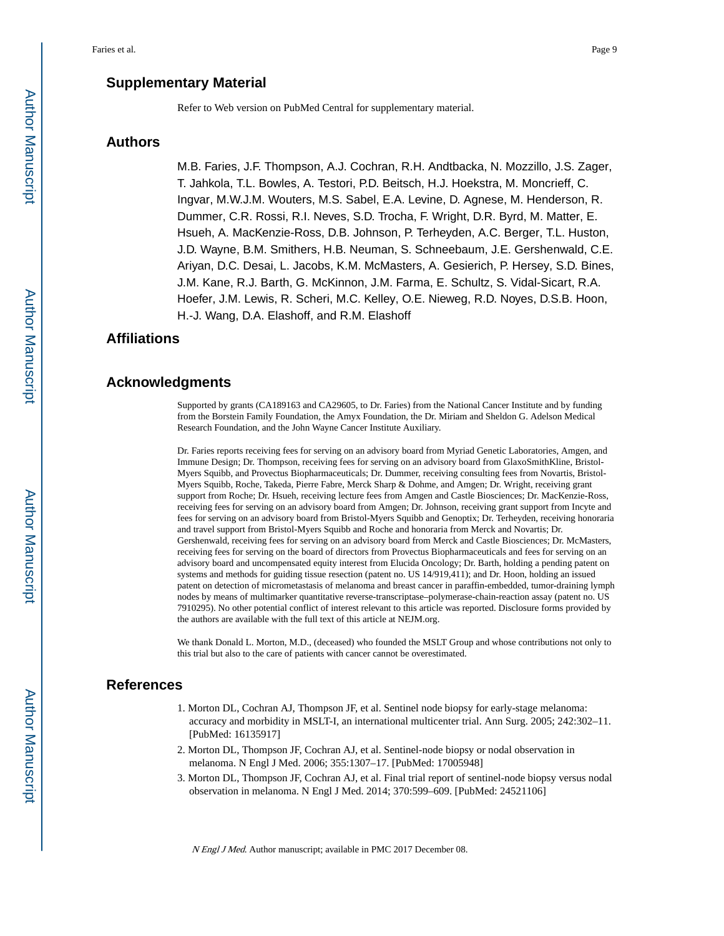### **Supplementary Material**

Refer to Web version on PubMed Central for supplementary material.

# **Authors**

M.B. Faries, J.F. Thompson, A.J. Cochran, R.H. Andtbacka, N. Mozzillo, J.S. Zager, T. Jahkola, T.L. Bowles, A. Testori, P.D. Beitsch, H.J. Hoekstra, M. Moncrieff, C. Ingvar, M.W.J.M. Wouters, M.S. Sabel, E.A. Levine, D. Agnese, M. Henderson, R. Dummer, C.R. Rossi, R.I. Neves, S.D. Trocha, F. Wright, D.R. Byrd, M. Matter, E. Hsueh, A. MacKenzie-Ross, D.B. Johnson, P. Terheyden, A.C. Berger, T.L. Huston, J.D. Wayne, B.M. Smithers, H.B. Neuman, S. Schneebaum, J.E. Gershenwald, C.E. Ariyan, D.C. Desai, L. Jacobs, K.M. McMasters, A. Gesierich, P. Hersey, S.D. Bines, J.M. Kane, R.J. Barth, G. McKinnon, J.M. Farma, E. Schultz, S. Vidal-Sicart, R.A. Hoefer, J.M. Lewis, R. Scheri, M.C. Kelley, O.E. Nieweg, R.D. Noyes, D.S.B. Hoon, H.-J. Wang, D.A. Elashoff, and R.M. Elashoff

# **Affiliations**

#### **Acknowledgments**

Supported by grants (CA189163 and CA29605, to Dr. Faries) from the National Cancer Institute and by funding from the Borstein Family Foundation, the Amyx Foundation, the Dr. Miriam and Sheldon G. Adelson Medical Research Foundation, and the John Wayne Cancer Institute Auxiliary.

Dr. Faries reports receiving fees for serving on an advisory board from Myriad Genetic Laboratories, Amgen, and Immune Design; Dr. Thompson, receiving fees for serving on an advisory board from GlaxoSmithKline, Bristol-Myers Squibb, and Provectus Biopharmaceuticals; Dr. Dummer, receiving consulting fees from Novartis, Bristol-Myers Squibb, Roche, Takeda, Pierre Fabre, Merck Sharp & Dohme, and Amgen; Dr. Wright, receiving grant support from Roche; Dr. Hsueh, receiving lecture fees from Amgen and Castle Biosciences; Dr. MacKenzie-Ross, receiving fees for serving on an advisory board from Amgen; Dr. Johnson, receiving grant support from Incyte and fees for serving on an advisory board from Bristol-Myers Squibb and Genoptix; Dr. Terheyden, receiving honoraria and travel support from Bristol-Myers Squibb and Roche and honoraria from Merck and Novartis; Dr. Gershenwald, receiving fees for serving on an advisory board from Merck and Castle Biosciences; Dr. McMasters, receiving fees for serving on the board of directors from Provectus Biopharmaceuticals and fees for serving on an advisory board and uncompensated equity interest from Elucida Oncology; Dr. Barth, holding a pending patent on systems and methods for guiding tissue resection (patent no. US 14/919,411); and Dr. Hoon, holding an issued patent on detection of micrometastasis of melanoma and breast cancer in paraffin-embedded, tumor-draining lymph nodes by means of multimarker quantitative reverse-transcriptase–polymerase-chain-reaction assay (patent no. US 7910295). No other potential conflict of interest relevant to this article was reported. Disclosure forms provided by the authors are available with the full text of this article at NEJM.org.

We thank Donald L. Morton, M.D., (deceased) who founded the MSLT Group and whose contributions not only to this trial but also to the care of patients with cancer cannot be overestimated.

# **References**

- 1. Morton DL, Cochran AJ, Thompson JF, et al. Sentinel node biopsy for early-stage melanoma: accuracy and morbidity in MSLT-I, an international multicenter trial. Ann Surg. 2005; 242:302–11. [PubMed: 16135917]
- 2. Morton DL, Thompson JF, Cochran AJ, et al. Sentinel-node biopsy or nodal observation in melanoma. N Engl J Med. 2006; 355:1307–17. [PubMed: 17005948]
- 3. Morton DL, Thompson JF, Cochran AJ, et al. Final trial report of sentinel-node biopsy versus nodal observation in melanoma. N Engl J Med. 2014; 370:599–609. [PubMed: 24521106]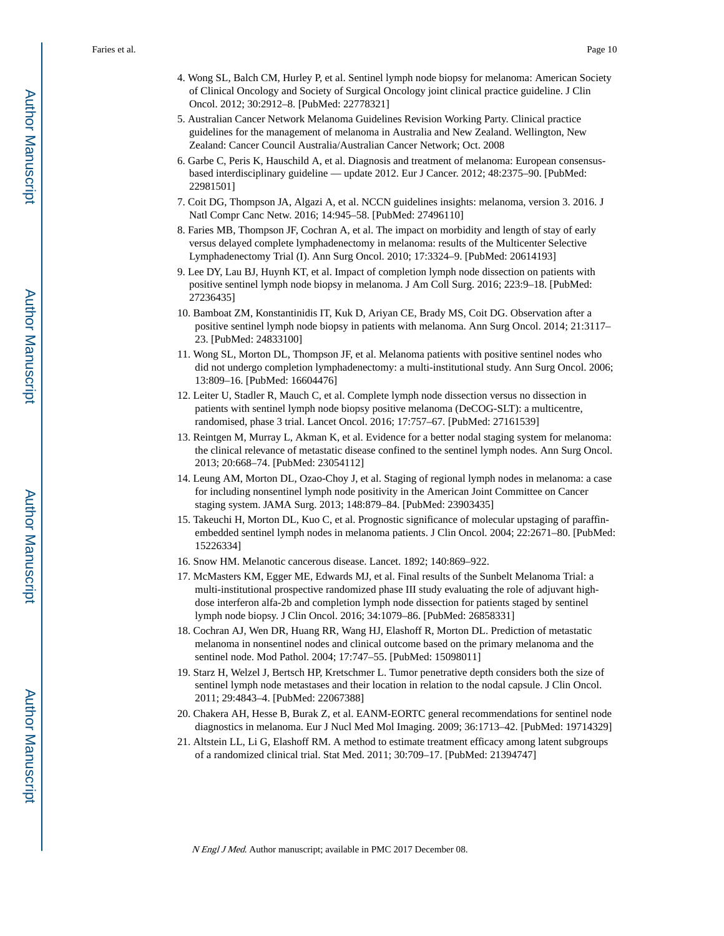- 4. Wong SL, Balch CM, Hurley P, et al. Sentinel lymph node biopsy for melanoma: American Society of Clinical Oncology and Society of Surgical Oncology joint clinical practice guideline. J Clin Oncol. 2012; 30:2912–8. [PubMed: 22778321]
- 5. Australian Cancer Network Melanoma Guidelines Revision Working Party. Clinical practice guidelines for the management of melanoma in Australia and New Zealand. Wellington, New Zealand: Cancer Council Australia/Australian Cancer Network; Oct. 2008
- 6. Garbe C, Peris K, Hauschild A, et al. Diagnosis and treatment of melanoma: European consensusbased interdisciplinary guideline — update 2012. Eur J Cancer. 2012; 48:2375–90. [PubMed: 22981501]
- 7. Coit DG, Thompson JA, Algazi A, et al. NCCN guidelines insights: melanoma, version 3. 2016. J Natl Compr Canc Netw. 2016; 14:945–58. [PubMed: 27496110]
- 8. Faries MB, Thompson JF, Cochran A, et al. The impact on morbidity and length of stay of early versus delayed complete lymphadenectomy in melanoma: results of the Multicenter Selective Lymphadenectomy Trial (I). Ann Surg Oncol. 2010; 17:3324–9. [PubMed: 20614193]
- 9. Lee DY, Lau BJ, Huynh KT, et al. Impact of completion lymph node dissection on patients with positive sentinel lymph node biopsy in melanoma. J Am Coll Surg. 2016; 223:9–18. [PubMed: 27236435]
- 10. Bamboat ZM, Konstantinidis IT, Kuk D, Ariyan CE, Brady MS, Coit DG. Observation after a positive sentinel lymph node biopsy in patients with melanoma. Ann Surg Oncol. 2014; 21:3117– 23. [PubMed: 24833100]
- 11. Wong SL, Morton DL, Thompson JF, et al. Melanoma patients with positive sentinel nodes who did not undergo completion lymphadenectomy: a multi-institutional study. Ann Surg Oncol. 2006; 13:809–16. [PubMed: 16604476]
- 12. Leiter U, Stadler R, Mauch C, et al. Complete lymph node dissection versus no dissection in patients with sentinel lymph node biopsy positive melanoma (DeCOG-SLT): a multicentre, randomised, phase 3 trial. Lancet Oncol. 2016; 17:757–67. [PubMed: 27161539]
- 13. Reintgen M, Murray L, Akman K, et al. Evidence for a better nodal staging system for melanoma: the clinical relevance of metastatic disease confined to the sentinel lymph nodes. Ann Surg Oncol. 2013; 20:668–74. [PubMed: 23054112]
- 14. Leung AM, Morton DL, Ozao-Choy J, et al. Staging of regional lymph nodes in melanoma: a case for including nonsentinel lymph node positivity in the American Joint Committee on Cancer staging system. JAMA Surg. 2013; 148:879–84. [PubMed: 23903435]
- 15. Takeuchi H, Morton DL, Kuo C, et al. Prognostic significance of molecular upstaging of paraffinembedded sentinel lymph nodes in melanoma patients. J Clin Oncol. 2004; 22:2671–80. [PubMed: 15226334]
- 16. Snow HM. Melanotic cancerous disease. Lancet. 1892; 140:869–922.
- 17. McMasters KM, Egger ME, Edwards MJ, et al. Final results of the Sunbelt Melanoma Trial: a multi-institutional prospective randomized phase III study evaluating the role of adjuvant highdose interferon alfa-2b and completion lymph node dissection for patients staged by sentinel lymph node biopsy. J Clin Oncol. 2016; 34:1079–86. [PubMed: 26858331]
- 18. Cochran AJ, Wen DR, Huang RR, Wang HJ, Elashoff R, Morton DL. Prediction of metastatic melanoma in nonsentinel nodes and clinical outcome based on the primary melanoma and the sentinel node. Mod Pathol. 2004; 17:747–55. [PubMed: 15098011]
- 19. Starz H, Welzel J, Bertsch HP, Kretschmer L. Tumor penetrative depth considers both the size of sentinel lymph node metastases and their location in relation to the nodal capsule. J Clin Oncol. 2011; 29:4843–4. [PubMed: 22067388]
- 20. Chakera AH, Hesse B, Burak Z, et al. EANM-EORTC general recommendations for sentinel node diagnostics in melanoma. Eur J Nucl Med Mol Imaging. 2009; 36:1713–42. [PubMed: 19714329]
- 21. Altstein LL, Li G, Elashoff RM. A method to estimate treatment efficacy among latent subgroups of a randomized clinical trial. Stat Med. 2011; 30:709–17. [PubMed: 21394747]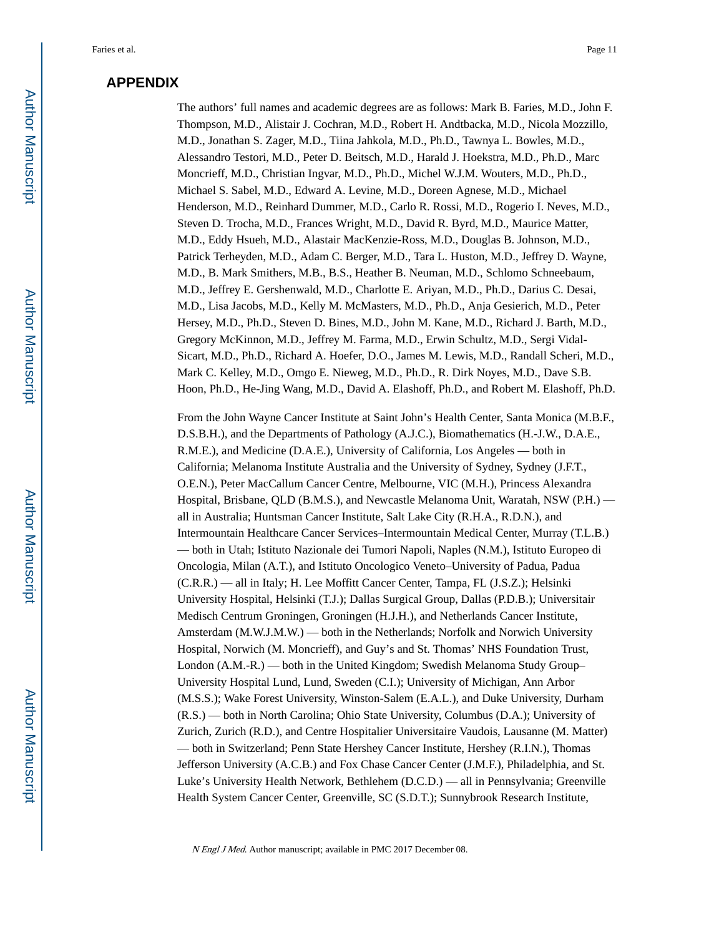# **APPENDIX**

The authors' full names and academic degrees are as follows: Mark B. Faries, M.D., John F. Thompson, M.D., Alistair J. Cochran, M.D., Robert H. Andtbacka, M.D., Nicola Mozzillo, M.D., Jonathan S. Zager, M.D., Tiina Jahkola, M.D., Ph.D., Tawnya L. Bowles, M.D., Alessandro Testori, M.D., Peter D. Beitsch, M.D., Harald J. Hoekstra, M.D., Ph.D., Marc Moncrieff, M.D., Christian Ingvar, M.D., Ph.D., Michel W.J.M. Wouters, M.D., Ph.D., Michael S. Sabel, M.D., Edward A. Levine, M.D., Doreen Agnese, M.D., Michael Henderson, M.D., Reinhard Dummer, M.D., Carlo R. Rossi, M.D., Rogerio I. Neves, M.D., Steven D. Trocha, M.D., Frances Wright, M.D., David R. Byrd, M.D., Maurice Matter, M.D., Eddy Hsueh, M.D., Alastair MacKenzie-Ross, M.D., Douglas B. Johnson, M.D., Patrick Terheyden, M.D., Adam C. Berger, M.D., Tara L. Huston, M.D., Jeffrey D. Wayne, M.D., B. Mark Smithers, M.B., B.S., Heather B. Neuman, M.D., Schlomo Schneebaum, M.D., Jeffrey E. Gershenwald, M.D., Charlotte E. Ariyan, M.D., Ph.D., Darius C. Desai, M.D., Lisa Jacobs, M.D., Kelly M. McMasters, M.D., Ph.D., Anja Gesierich, M.D., Peter Hersey, M.D., Ph.D., Steven D. Bines, M.D., John M. Kane, M.D., Richard J. Barth, M.D., Gregory McKinnon, M.D., Jeffrey M. Farma, M.D., Erwin Schultz, M.D., Sergi Vidal-Sicart, M.D., Ph.D., Richard A. Hoefer, D.O., James M. Lewis, M.D., Randall Scheri, M.D., Mark C. Kelley, M.D., Omgo E. Nieweg, M.D., Ph.D., R. Dirk Noyes, M.D., Dave S.B. Hoon, Ph.D., He-Jing Wang, M.D., David A. Elashoff, Ph.D., and Robert M. Elashoff, Ph.D.

From the John Wayne Cancer Institute at Saint John's Health Center, Santa Monica (M.B.F., D.S.B.H.), and the Departments of Pathology (A.J.C.), Biomathematics (H.-J.W., D.A.E., R.M.E.), and Medicine (D.A.E.), University of California, Los Angeles — both in California; Melanoma Institute Australia and the University of Sydney, Sydney (J.F.T., O.E.N.), Peter MacCallum Cancer Centre, Melbourne, VIC (M.H.), Princess Alexandra Hospital, Brisbane, QLD (B.M.S.), and Newcastle Melanoma Unit, Waratah, NSW (P.H.) all in Australia; Huntsman Cancer Institute, Salt Lake City (R.H.A., R.D.N.), and Intermountain Healthcare Cancer Services–Intermountain Medical Center, Murray (T.L.B.) — both in Utah; Istituto Nazionale dei Tumori Napoli, Naples (N.M.), Istituto Europeo di Oncologia, Milan (A.T.), and Istituto Oncologico Veneto–University of Padua, Padua (C.R.R.) — all in Italy; H. Lee Moffitt Cancer Center, Tampa, FL (J.S.Z.); Helsinki University Hospital, Helsinki (T.J.); Dallas Surgical Group, Dallas (P.D.B.); Universitair Medisch Centrum Groningen, Groningen (H.J.H.), and Netherlands Cancer Institute, Amsterdam (M.W.J.M.W.) — both in the Netherlands; Norfolk and Norwich University Hospital, Norwich (M. Moncrieff), and Guy's and St. Thomas' NHS Foundation Trust, London (A.M.-R.) — both in the United Kingdom; Swedish Melanoma Study Group– University Hospital Lund, Lund, Sweden (C.I.); University of Michigan, Ann Arbor (M.S.S.); Wake Forest University, Winston-Salem (E.A.L.), and Duke University, Durham (R.S.) — both in North Carolina; Ohio State University, Columbus (D.A.); University of Zurich, Zurich (R.D.), and Centre Hospitalier Universitaire Vaudois, Lausanne (M. Matter) — both in Switzerland; Penn State Hershey Cancer Institute, Hershey (R.I.N.), Thomas Jefferson University (A.C.B.) and Fox Chase Cancer Center (J.M.F.), Philadelphia, and St. Luke's University Health Network, Bethlehem (D.C.D.) — all in Pennsylvania; Greenville Health System Cancer Center, Greenville, SC (S.D.T.); Sunnybrook Research Institute,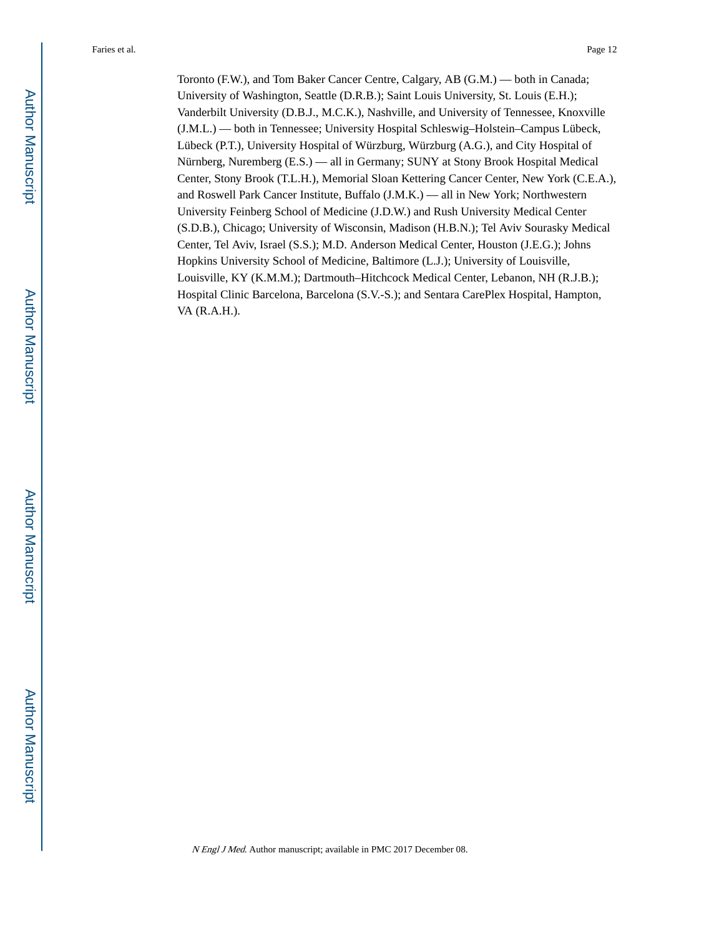Toronto (F.W.), and Tom Baker Cancer Centre, Calgary, AB (G.M.) — both in Canada; University of Washington, Seattle (D.R.B.); Saint Louis University, St. Louis (E.H.); Vanderbilt University (D.B.J., M.C.K.), Nashville, and University of Tennessee, Knoxville (J.M.L.) — both in Tennessee; University Hospital Schleswig–Holstein–Campus Lübeck, Lübeck (P.T.), University Hospital of Würzburg, Würzburg (A.G.), and City Hospital of Nürnberg, Nuremberg (E.S.) — all in Germany; SUNY at Stony Brook Hospital Medical Center, Stony Brook (T.L.H.), Memorial Sloan Kettering Cancer Center, New York (C.E.A.), and Roswell Park Cancer Institute, Buffalo (J.M.K.) — all in New York; Northwestern University Feinberg School of Medicine (J.D.W.) and Rush University Medical Center (S.D.B.), Chicago; University of Wisconsin, Madison (H.B.N.); Tel Aviv Sourasky Medical Center, Tel Aviv, Israel (S.S.); M.D. Anderson Medical Center, Houston (J.E.G.); Johns Hopkins University School of Medicine, Baltimore (L.J.); University of Louisville, Louisville, KY (K.M.M.); Dartmouth–Hitchcock Medical Center, Lebanon, NH (R.J.B.); Hospital Clinic Barcelona, Barcelona (S.V.-S.); and Sentara CarePlex Hospital, Hampton, VA (R.A.H.).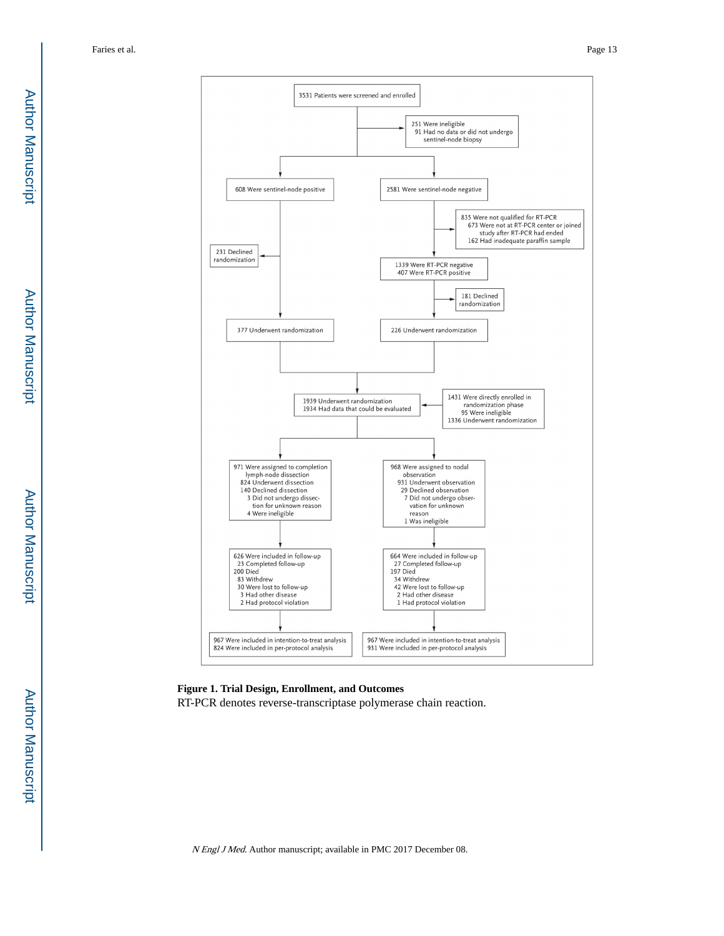Author Manuscript Author Manuscript

 Author ManuscriptAuthor Manuscript



**Figure 1. Trial Design, Enrollment, and Outcomes**

RT-PCR denotes reverse-transcriptase polymerase chain reaction.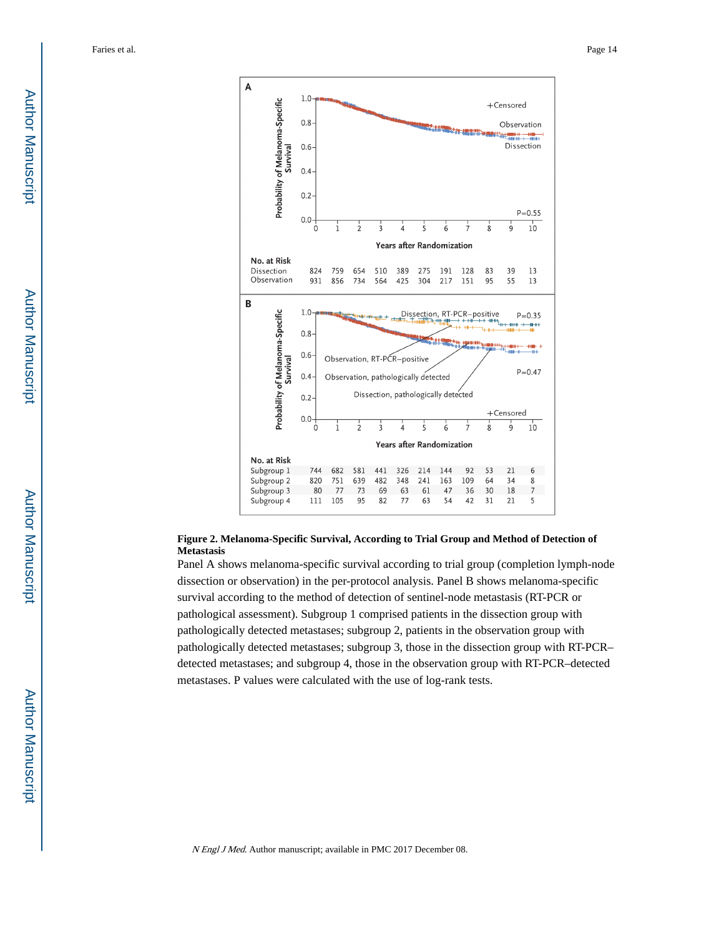

#### **Figure 2. Melanoma-Specific Survival, According to Trial Group and Method of Detection of Metastasis**

Panel A shows melanoma-specific survival according to trial group (completion lymph-node dissection or observation) in the per-protocol analysis. Panel B shows melanoma-specific survival according to the method of detection of sentinel-node metastasis (RT-PCR or pathological assessment). Subgroup 1 comprised patients in the dissection group with pathologically detected metastases; subgroup 2, patients in the observation group with pathologically detected metastases; subgroup 3, those in the dissection group with RT-PCR– detected metastases; and subgroup 4, those in the observation group with RT-PCR–detected metastases. P values were calculated with the use of log-rank tests.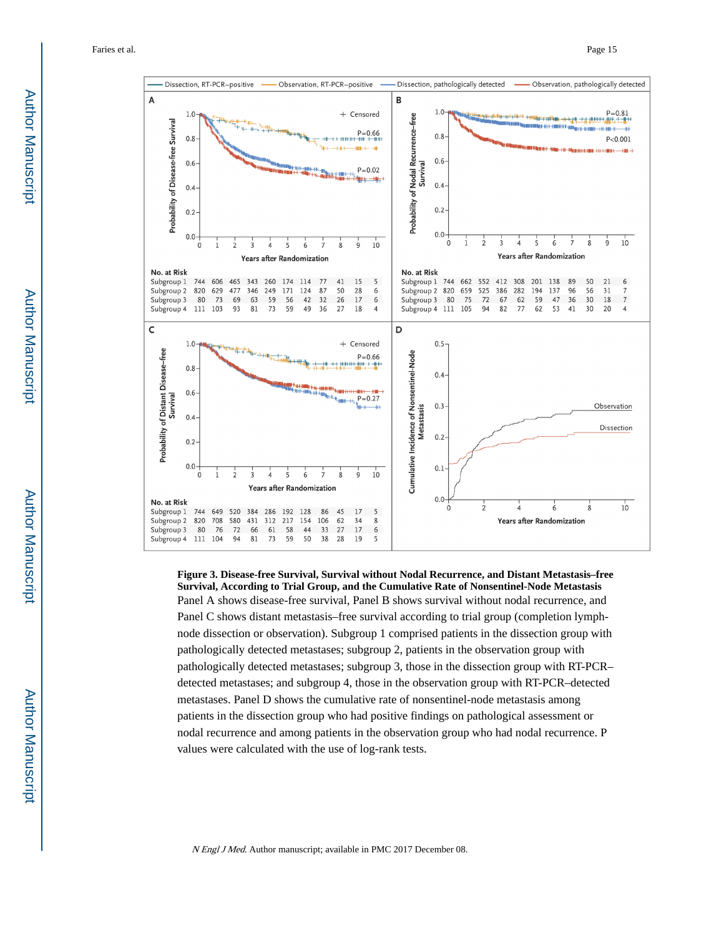

**Figure 3. Disease-free Survival, Survival without Nodal Recurrence, and Distant Metastasis–free Survival, According to Trial Group, and the Cumulative Rate of Nonsentinel-Node Metastasis** Panel A shows disease-free survival, Panel B shows survival without nodal recurrence, and Panel C shows distant metastasis–free survival according to trial group (completion lymphnode dissection or observation). Subgroup 1 comprised patients in the dissection group with pathologically detected metastases; subgroup 2, patients in the observation group with pathologically detected metastases; subgroup 3, those in the dissection group with RT-PCR– detected metastases; and subgroup 4, those in the observation group with RT-PCR–detected metastases. Panel D shows the cumulative rate of nonsentinel-node metastasis among patients in the dissection group who had positive findings on pathological assessment or nodal recurrence and among patients in the observation group who had nodal recurrence. P values were calculated with the use of log-rank tests.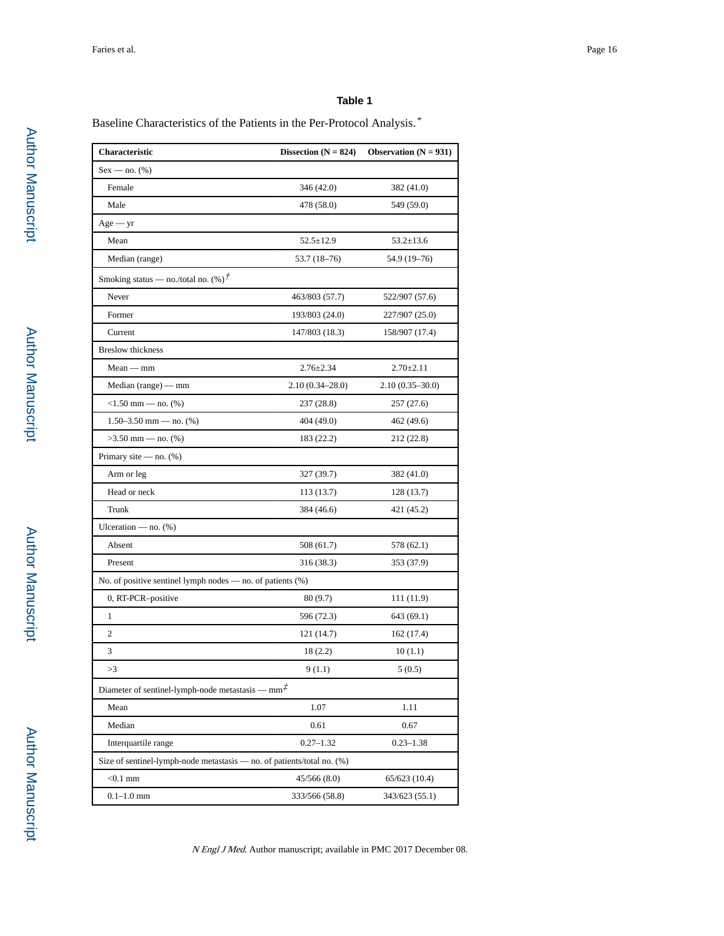#### **Table 1**

Baseline Characteristics of the Patients in the Per-Protocol Analysis.\*

| Characteristic                                                            | Dissection ( $N = 824$ )         | Observation ( $N = 931$ ) |  |  |  |
|---------------------------------------------------------------------------|----------------------------------|---------------------------|--|--|--|
| $Sex - no.$ (%)                                                           |                                  |                           |  |  |  |
| Female                                                                    | 346 (42.0)                       | 382 (41.0)                |  |  |  |
| Male                                                                      | 478 (58.0)                       | 549 (59.0)                |  |  |  |
| $Age - yr$                                                                |                                  |                           |  |  |  |
| Mean                                                                      | $52.5 \pm 12.9$                  | $53.2 \pm 13.6$           |  |  |  |
| Median (range)                                                            | $53.7(18-76)$                    | 54.9 (19-76)              |  |  |  |
| Smoking status — no./total no. $(\%)$ <sup>†</sup>                        |                                  |                           |  |  |  |
| Never                                                                     | 463/803 (57.7)                   | 522/907 (57.6)            |  |  |  |
| Former                                                                    | 193/803 (24.0)<br>227/907 (25.0) |                           |  |  |  |
| Current                                                                   | 147/803 (18.3)                   | 158/907 (17.4)            |  |  |  |
| <b>Breslow</b> thickness                                                  |                                  |                           |  |  |  |
| $Mean - mm$                                                               | $2.76 \pm 2.34$                  | $2.70 \pm 2.11$           |  |  |  |
| Median $(range)$ — mm                                                     | $2.10(0.34 - 28.0)$              | $2.10(0.35 - 30.0)$       |  |  |  |
| $<1.50$ mm - no. $(\% )$                                                  | 237 (28.8)                       | 257(27.6)                 |  |  |  |
| $1.50 - 3.50$ mm — no. $(\%)$                                             | 404 (49.0)                       | 462 (49.6)                |  |  |  |
| $>3.50$ mm — no. (%)                                                      | 183 (22.2)                       | 212 (22.8)                |  |  |  |
| Primary site $-$ no. $(\%)$                                               |                                  |                           |  |  |  |
| Arm or leg                                                                | 327 (39.7)                       | 382 (41.0)                |  |  |  |
| Head or neck                                                              | 113 (13.7)                       | 128 (13.7)                |  |  |  |
| Trunk                                                                     | 384 (46.6)                       | 421 (45.2)                |  |  |  |
| Ulceration — no. $(\%)$                                                   |                                  |                           |  |  |  |
| Absent                                                                    | 508 (61.7)                       | 578 (62.1)                |  |  |  |
| Present                                                                   | 316 (38.3)                       | 353 (37.9)                |  |  |  |
| No. of positive sentinel lymph nodes - no. of patients (%)                |                                  |                           |  |  |  |
| 0, RT-PCR-positive                                                        | 80(9.7)                          | 111 (11.9)                |  |  |  |
| 1                                                                         | 596 (72.3)                       | 643 (69.1)                |  |  |  |
| 2                                                                         | 121 (14.7)                       | 162 (17.4)                |  |  |  |
| 3                                                                         | 18 (2.2)                         | 10(1.1)                   |  |  |  |
| >3                                                                        | 9(1.1)                           | 5(0.5)                    |  |  |  |
| Diameter of sentinel-lymph-node metastasis — mm $\vec{x}$                 |                                  |                           |  |  |  |
| Mean                                                                      | 1.07                             | 1.11                      |  |  |  |
| Median                                                                    | 0.61                             | 0.67                      |  |  |  |
| Interquartile range                                                       | $0.27 - 1.32$                    | $0.23 - 1.38$             |  |  |  |
| Size of sentinel-lymph-node metastasis — no. of patients/total no. $(\%)$ |                                  |                           |  |  |  |
| $<$ 0.1 mm                                                                | 45/566(8.0)                      | 65/623(10.4)              |  |  |  |
| $0.1 - 1.0$ mm                                                            | 333/566 (58.8)                   | 343/623 (55.1)            |  |  |  |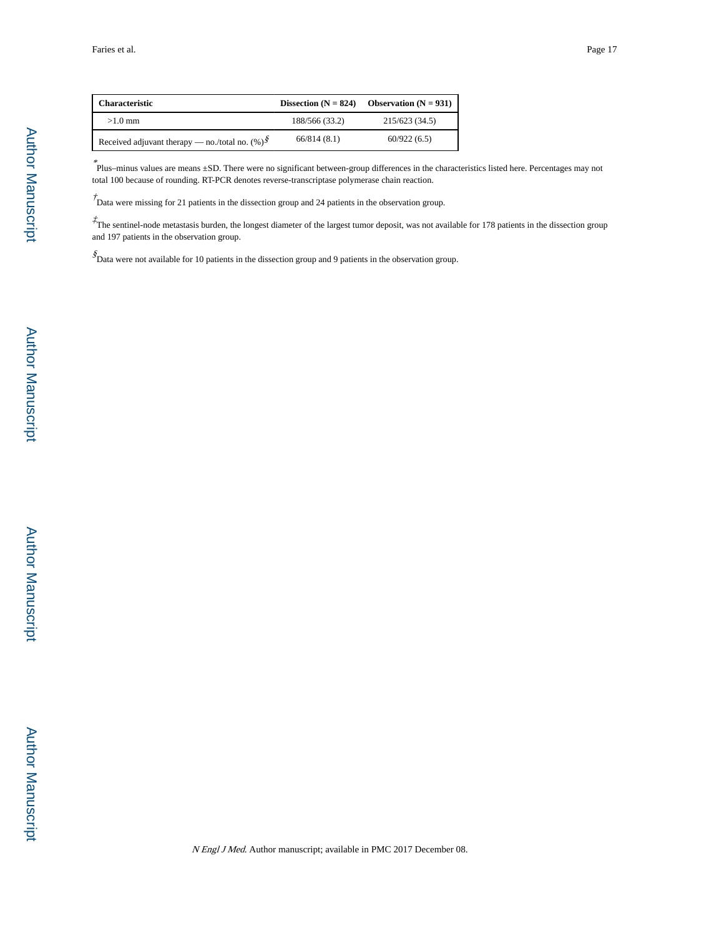| <b>Characteristic</b>                                      | Dissection ( $N = 824$ ) | <b>Observation</b> ( $N = 931$ ) |
|------------------------------------------------------------|--------------------------|----------------------------------|
| $>1.0$ mm                                                  | 188/566 (33.2)           | 215/623 (34.5)                   |
| Received adjuvant therapy — no./total no. $(\%)^{\hat{S}}$ | 66/814(8.1)              | 60/922(6.5)                      |

\* Plus–minus values are means ±SD. There were no significant between-group differences in the characteristics listed here. Percentages may not total 100 because of rounding. RT-PCR denotes reverse-transcriptase polymerase chain reaction.

 $\phi$ <sup>†</sup>Data were missing for 21 patients in the dissection group and 24 patients in the observation group.

‡ The sentinel-node metastasis burden, the longest diameter of the largest tumor deposit, was not available for 178 patients in the dissection group and 197 patients in the observation group.

 $\mathcal{S}_{\text{Data}}$  were not available for 10 patients in the dissection group and 9 patients in the observation group.